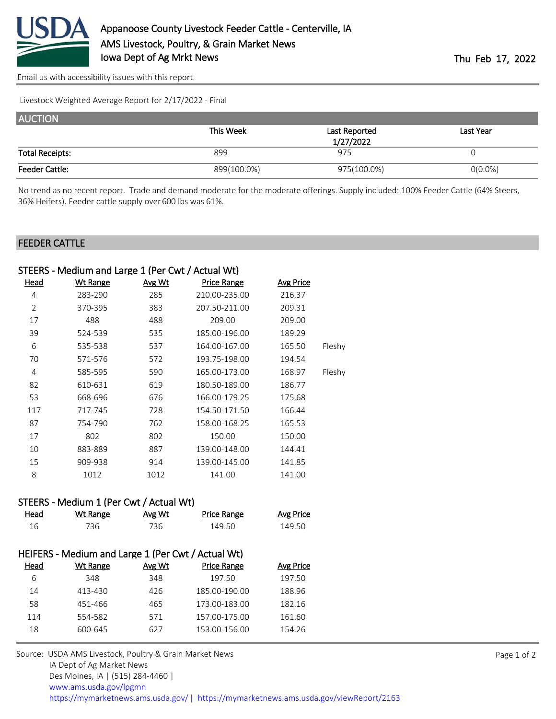

[Email us with accessibility issues with this report.](mailto:mars@ams.usda.gov?subject=508%20issue)

Livestock Weighted Average Report for 2/17/2022 - Final

| <b>AUCTION</b>         |             |                            |            |
|------------------------|-------------|----------------------------|------------|
|                        | This Week   | Last Reported<br>1/27/2022 | Last Year  |
| <b>Total Receipts:</b> | 899         | 975                        |            |
| <b>Feeder Cattle:</b>  | 899(100.0%) | 975(100.0%)                | $O(0.0\%)$ |

No trend as no recent report. Trade and demand moderate for the moderate offerings. Supply included: 100% Feeder Cattle (64% Steers, 36% Heifers). Feeder cattle supply over 600 lbs was 61%.

## FEEDER CATTLE

|                | STEERS - Medium and Large 1 (Per Cwt / Actual Wt) |               |               |                  |        |
|----------------|---------------------------------------------------|---------------|---------------|------------------|--------|
| Head           | <u>Wt Range</u>                                   | <u>Avg Wt</u> | Price Range   | <b>Avg Price</b> |        |
| 4              | 283-290                                           | 285           | 210.00-235.00 | 216.37           |        |
| $\overline{2}$ | 370-395                                           | 383           | 207.50-211.00 | 209.31           |        |
| 17             | 488                                               | 488           | 209.00        | 209.00           |        |
| 39             | 524-539                                           | 535           | 185.00-196.00 | 189.29           |        |
| 6              | 535-538                                           | 537           | 164.00-167.00 | 165.50           | Fleshy |
| 70             | 571-576                                           | 572           | 193.75-198.00 | 194.54           |        |
| 4              | 585-595                                           | 590           | 165.00-173.00 | 168.97           | Fleshy |
| 82             | 610-631                                           | 619           | 180.50-189.00 | 186.77           |        |
| 53             | 668-696                                           | 676           | 166.00-179.25 | 175.68           |        |
| 117            | 717-745                                           | 728           | 154.50-171.50 | 166.44           |        |
| 87             | 754-790                                           | 762           | 158.00-168.25 | 165.53           |        |
| 17             | 802                                               | 802           | 150.00        | 150.00           |        |
| 10             | 883-889                                           | 887           | 139.00-148.00 | 144.41           |        |
| 15             | 909-938                                           | 914           | 139.00-145.00 | 141.85           |        |
| 8              | 1012                                              | 1012          | 141.00        | 141.00           |        |
|                |                                                   |               |               |                  |        |

## STEERS - Medium 1 (Per Cwt / Actual Wt)

| Head | Wt Range                                           | Avg Wt | <b>Price Range</b> | <b>Avg Price</b> |
|------|----------------------------------------------------|--------|--------------------|------------------|
| 16   | 736                                                | 736    | 149.50             | 149.50           |
|      |                                                    |        |                    |                  |
|      | HEIFERS - Medium and Large 1 (Per Cwt / Actual Wt) |        |                    |                  |
| Head | Wt Range                                           | Avg Wt | <b>Price Range</b> | Avg Price        |
| 6    | 348                                                | 348    | 197.50             | 197.50           |
| 14   | 413-430                                            | 426    | 185.00-190.00      | 188.96           |
|      |                                                    |        |                    |                  |

 451-466 465 173.00-183.00 182.16 554-582 571 157.00-175.00 161.60 600-645 627 153.00-156.00 154.26 Source: USDA AMS Livestock, Poultry & Grain Market News